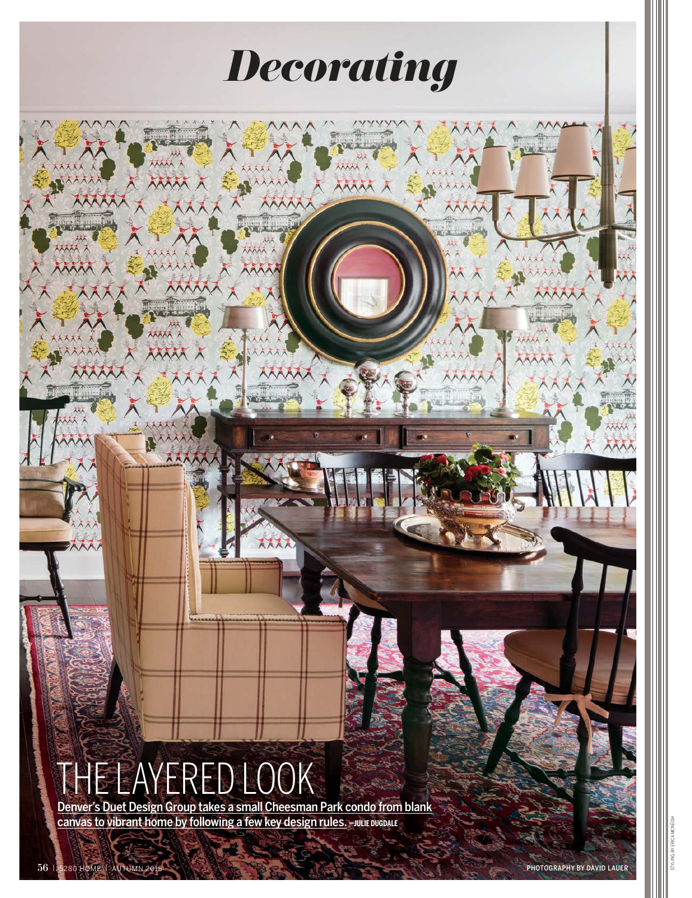# THE LAYERED LOOK

w.

i ini

WAA

ithat

NAX

AAA

**MAA** 

Denver's Duet Design Group takes a small Cheesman Park condo from blank **canvas to vibrant home by following a few key design rules. - JULIE DUGDALE** 

*Decorating*

KX)

**AAAA** 

m

**AAA** 

mm

STYLING BY ERICA MCNEISH

林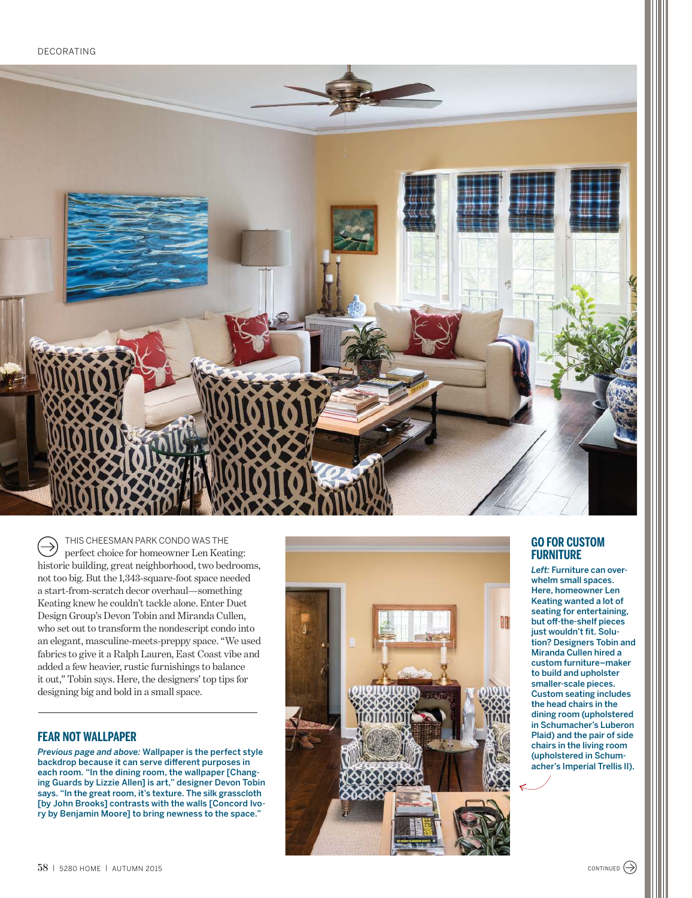

THIS CHEESMAN PARK CONDO WAS THE  $\rightarrow$ perfect choice for homeowner Len Keating: historic building, great neighborhood, two bedrooms, not too big. But the 1,343-square-foot space needed a start-from-scratch decor overhaul—something Keating knew he couldn't tackle alone. Enter Duet Design Group's Devon Tobin and Miranda Cullen, who set out to transform the nondescript condo into an elegant, masculine-meets-preppy space. "We used fabrics to give it a Ralph Lauren, East Coast vibe and added a few heavier, rustic furnishings to balance it out," Tobin says. Here, the designers' top tips for designing big and bold in a small space.

#### **FEAR NOT WALLPAPER**

*Previous page and above:* Wallpaper is the perfect style backdrop because it can serve different purposes in each room. "In the dining room, the wallpaper [Changing Guards by Lizzie Allen] is art," designer Devon Tobin says. "In the great room, it's texture. The silk grasscloth [by John Brooks] contrasts with the walls [Concord Ivory by Benjamin Moore] to bring newness to the space."



#### **GO FOR CUSTOM FURNITURE**

*Left:* Furniture can overwhelm small spaces. Here, homeowner Len Keating wanted a lot of seating for entertaining, but off-the-shelf pieces just wouldn't fit. Solution? Designers Tobin and Miranda Cullen hired a custom furniture–maker to build and upholster smaller-scale pieces. Custom seating includes the head chairs in the dining room (upholstered in Schumacher's Luberon Plaid) and the pair of side chairs in the living room (upholstered in Schumacher's Imperial Trellis II).